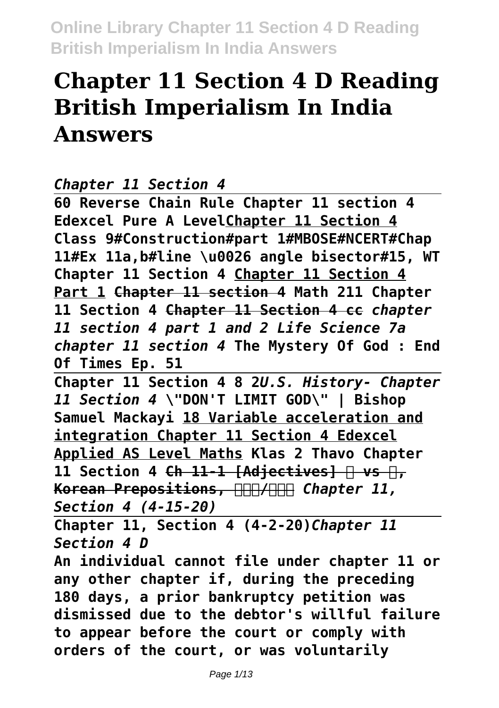# **Chapter 11 Section 4 D Reading British Imperialism In India Answers**

```
Chapter 11 Section 4
```
**60 Reverse Chain Rule Chapter 11 section 4 Edexcel Pure A LevelChapter 11 Section 4 Class 9#Construction#part 1#MBOSE#NCERT#Chap 11#Ex 11a,b#line \u0026 angle bisector#15, WT Chapter 11 Section 4 Chapter 11 Section 4 Part 1 Chapter 11 section 4 Math 211 Chapter 11 Section 4 Chapter 11 Section 4 cc** *chapter 11 section 4 part 1 and 2 Life Science 7a chapter 11 section 4* **The Mystery Of God : End Of Times Ep. 51** 

**Chapter 11 Section 4 8 2***U.S. History- Chapter 11 Section 4* **\"DON'T LIMIT GOD\" | Bishop Samuel Mackayi 18 Variable acceleration and integration Chapter 11 Section 4 Edexcel Applied AS Level Maths Klas 2 Thavo Chapter** 11 Section 4 Ch 11-1 [Adjectives] **P** vs **P**, **Korean Prepositions, HHA/HHA Chapter 11,** *Section 4 (4-15-20)*

**Chapter 11, Section 4 (4-2-20)***Chapter 11 Section 4 D*

**An individual cannot file under chapter 11 or any other chapter if, during the preceding 180 days, a prior bankruptcy petition was dismissed due to the debtor's willful failure to appear before the court or comply with orders of the court, or was voluntarily**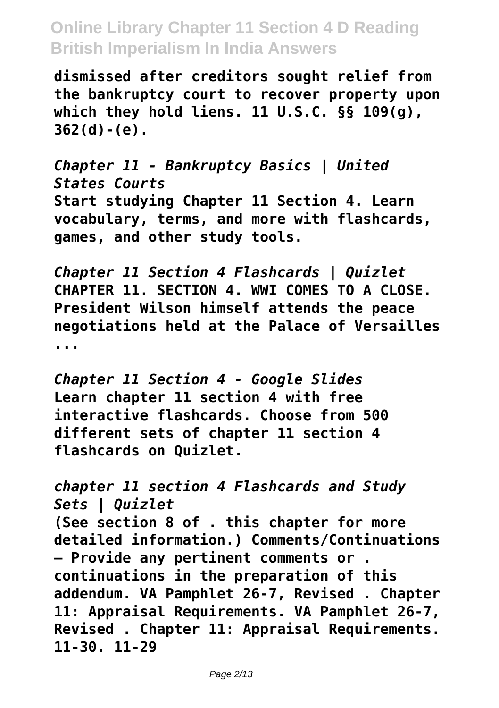**dismissed after creditors sought relief from the bankruptcy court to recover property upon which they hold liens. 11 U.S.C. §§ 109(g), 362(d)-(e).**

*Chapter 11 - Bankruptcy Basics | United States Courts* **Start studying Chapter 11 Section 4. Learn vocabulary, terms, and more with flashcards, games, and other study tools.**

*Chapter 11 Section 4 Flashcards | Quizlet* **CHAPTER 11. SECTION 4. WWI COMES TO A CLOSE. President Wilson himself attends the peace negotiations held at the Palace of Versailles ...**

*Chapter 11 Section 4 - Google Slides* **Learn chapter 11 section 4 with free interactive flashcards. Choose from 500 different sets of chapter 11 section 4 flashcards on Quizlet.**

*chapter 11 section 4 Flashcards and Study Sets | Quizlet* **(See section 8 of . this chapter for more detailed information.) Comments/Continuations – Provide any pertinent comments or . continuations in the preparation of this addendum. VA Pamphlet 26-7, Revised . Chapter 11: Appraisal Requirements. VA Pamphlet 26-7, Revised . Chapter 11: Appraisal Requirements. 11-30. 11-29**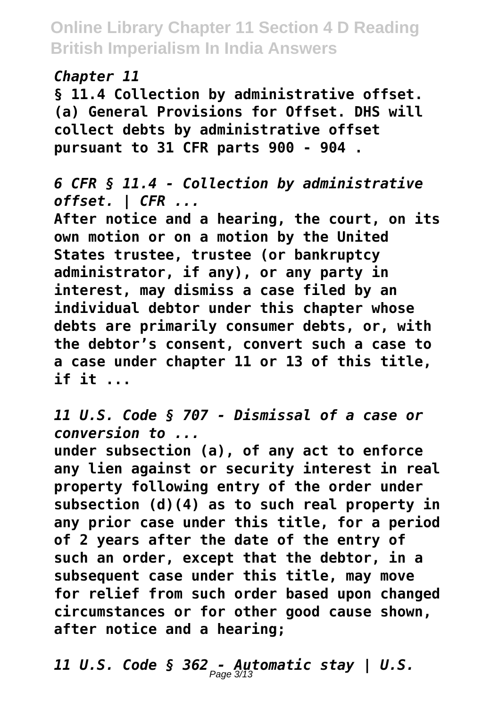*Chapter 11*

**§ 11.4 Collection by administrative offset. (a) General Provisions for Offset. DHS will collect debts by administrative offset pursuant to 31 CFR parts 900 - 904 .**

*6 CFR § 11.4 - Collection by administrative offset. | CFR ...*

**After notice and a hearing, the court, on its own motion or on a motion by the United States trustee, trustee (or bankruptcy administrator, if any), or any party in interest, may dismiss a case filed by an individual debtor under this chapter whose debts are primarily consumer debts, or, with the debtor's consent, convert such a case to a case under chapter 11 or 13 of this title, if it ...**

*11 U.S. Code § 707 - Dismissal of a case or conversion to ...*

**under subsection (a), of any act to enforce any lien against or security interest in real property following entry of the order under subsection (d)(4) as to such real property in any prior case under this title, for a period of 2 years after the date of the entry of such an order, except that the debtor, in a subsequent case under this title, may move for relief from such order based upon changed circumstances or for other good cause shown, after notice and a hearing;**

*11 U.S. Code § 362 - Automatic stay | U.S.* Page 3/13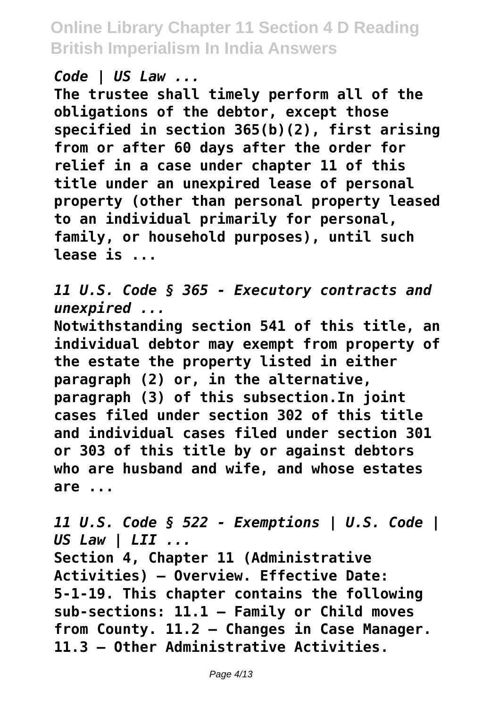*Code | US Law ...*

**The trustee shall timely perform all of the obligations of the debtor, except those specified in section 365(b)(2), first arising from or after 60 days after the order for relief in a case under chapter 11 of this title under an unexpired lease of personal property (other than personal property leased to an individual primarily for personal, family, or household purposes), until such lease is ...**

*11 U.S. Code § 365 - Executory contracts and unexpired ...*

**Notwithstanding section 541 of this title, an individual debtor may exempt from property of the estate the property listed in either paragraph (2) or, in the alternative, paragraph (3) of this subsection.In joint cases filed under section 302 of this title and individual cases filed under section 301 or 303 of this title by or against debtors who are husband and wife, and whose estates are ...**

*11 U.S. Code § 522 - Exemptions | U.S. Code | US Law | LII ...* **Section 4, Chapter 11 (Administrative Activities) – Overview. Effective Date: 5-1-19. This chapter contains the following sub-sections: 11.1 – Family or Child moves from County. 11.2 – Changes in Case Manager. 11.3 – Other Administrative Activities.**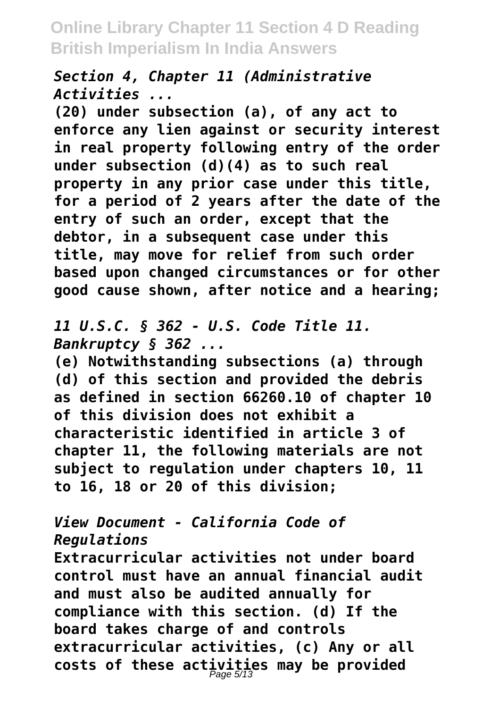*Section 4, Chapter 11 (Administrative Activities ...*

**(20) under subsection (a), of any act to enforce any lien against or security interest in real property following entry of the order under subsection (d)(4) as to such real property in any prior case under this title, for a period of 2 years after the date of the entry of such an order, except that the debtor, in a subsequent case under this title, may move for relief from such order based upon changed circumstances or for other good cause shown, after notice and a hearing;**

*11 U.S.C. § 362 - U.S. Code Title 11. Bankruptcy § 362 ...*

**(e) Notwithstanding subsections (a) through (d) of this section and provided the debris as defined in section 66260.10 of chapter 10 of this division does not exhibit a characteristic identified in article 3 of chapter 11, the following materials are not subject to regulation under chapters 10, 11 to 16, 18 or 20 of this division;**

#### *View Document - California Code of Regulations*

**Extracurricular activities not under board control must have an annual financial audit and must also be audited annually for compliance with this section. (d) If the board takes charge of and controls extracurricular activities, (c) Any or all costs of these activities may be provided** Page 5/13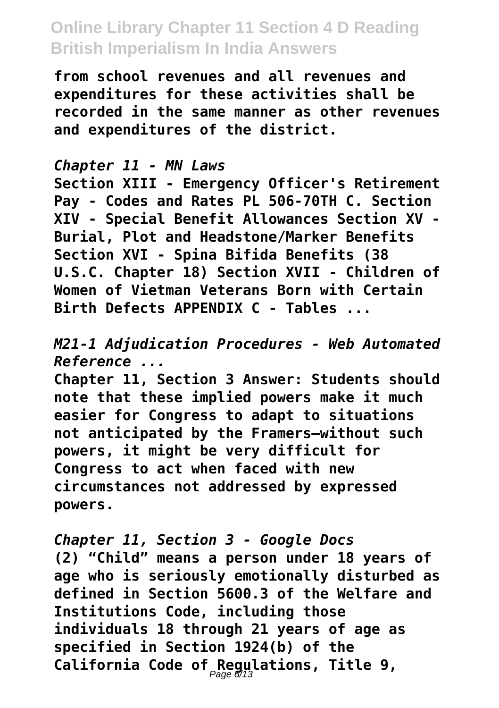**from school revenues and all revenues and expenditures for these activities shall be recorded in the same manner as other revenues and expenditures of the district.**

#### *Chapter 11 - MN Laws*

**Section XIII - Emergency Officer's Retirement Pay - Codes and Rates PL 506-70TH C. Section XIV - Special Benefit Allowances Section XV - Burial, Plot and Headstone/Marker Benefits Section XVI - Spina Bifida Benefits (38 U.S.C. Chapter 18) Section XVII - Children of Women of Vietman Veterans Born with Certain Birth Defects APPENDIX C - Tables ...**

*M21-1 Adjudication Procedures - Web Automated Reference ...*

**Chapter 11, Section 3 Answer: Students should note that these implied powers make it much easier for Congress to adapt to situations not anticipated by the Framers—without such powers, it might be very difficult for Congress to act when faced with new circumstances not addressed by expressed powers.**

*Chapter 11, Section 3 - Google Docs* **(2) "Child" means a person under 18 years of age who is seriously emotionally disturbed as defined in Section 5600.3 of the Welfare and Institutions Code, including those individuals 18 through 21 years of age as specified in Section 1924(b) of the California Code of Regulations, Title 9,** Page 6/13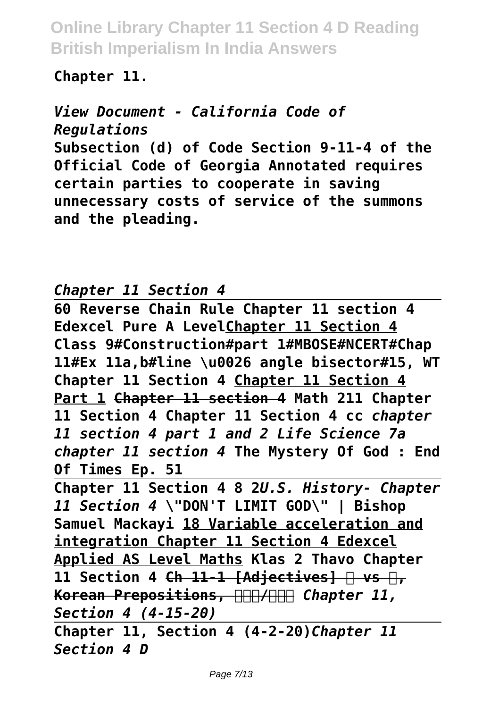#### **Chapter 11.**

*View Document - California Code of Regulations* **Subsection (d) of Code Section 9-11-4 of the Official Code of Georgia Annotated requires certain parties to cooperate in saving unnecessary costs of service of the summons and the pleading.**

#### *Chapter 11 Section 4*

**60 Reverse Chain Rule Chapter 11 section 4 Edexcel Pure A LevelChapter 11 Section 4 Class 9#Construction#part 1#MBOSE#NCERT#Chap 11#Ex 11a,b#line \u0026 angle bisector#15, WT Chapter 11 Section 4 Chapter 11 Section 4 Part 1 Chapter 11 section 4 Math 211 Chapter 11 Section 4 Chapter 11 Section 4 cc** *chapter 11 section 4 part 1 and 2 Life Science 7a chapter 11 section 4* **The Mystery Of God : End Of Times Ep. 51** 

**Chapter 11 Section 4 8 2***U.S. History- Chapter 11 Section 4* **\"DON'T LIMIT GOD\" | Bishop Samuel Mackayi 18 Variable acceleration and integration Chapter 11 Section 4 Edexcel Applied AS Level Maths Klas 2 Thavo Chapter** 11 Section 4 Ch 11-1 [Adjectives] **P** vs **P**, **Korean Prepositions, HHH/HHH Chapter 11,** *Section 4 (4-15-20)*

**Chapter 11, Section 4 (4-2-20)***Chapter 11 Section 4 D*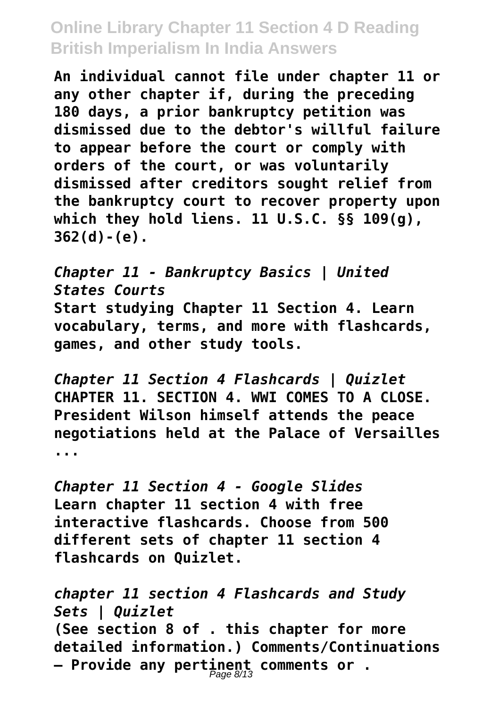**An individual cannot file under chapter 11 or any other chapter if, during the preceding 180 days, a prior bankruptcy petition was dismissed due to the debtor's willful failure to appear before the court or comply with orders of the court, or was voluntarily dismissed after creditors sought relief from the bankruptcy court to recover property upon which they hold liens. 11 U.S.C. §§ 109(g), 362(d)-(e).**

*Chapter 11 - Bankruptcy Basics | United States Courts* **Start studying Chapter 11 Section 4. Learn vocabulary, terms, and more with flashcards, games, and other study tools.**

*Chapter 11 Section 4 Flashcards | Quizlet* **CHAPTER 11. SECTION 4. WWI COMES TO A CLOSE. President Wilson himself attends the peace negotiations held at the Palace of Versailles ...**

*Chapter 11 Section 4 - Google Slides* **Learn chapter 11 section 4 with free interactive flashcards. Choose from 500 different sets of chapter 11 section 4 flashcards on Quizlet.**

*chapter 11 section 4 Flashcards and Study Sets | Quizlet* **(See section 8 of . this chapter for more detailed information.) Comments/Continuations – Provide any pertinent comments or .** Page 8/13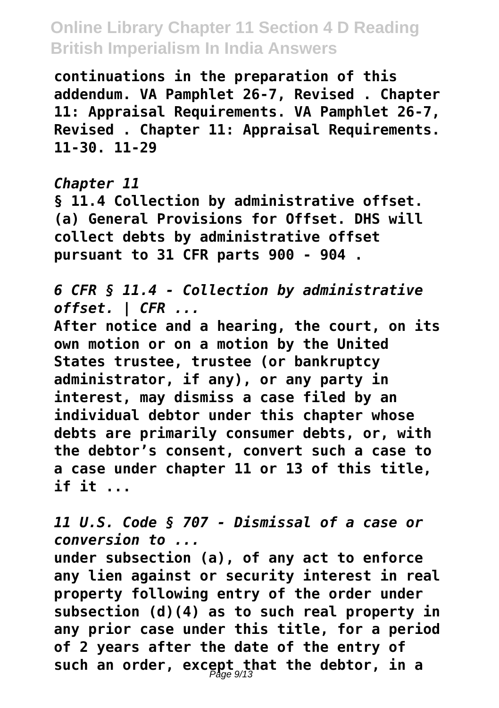**continuations in the preparation of this addendum. VA Pamphlet 26-7, Revised . Chapter 11: Appraisal Requirements. VA Pamphlet 26-7, Revised . Chapter 11: Appraisal Requirements. 11-30. 11-29**

#### *Chapter 11*

**§ 11.4 Collection by administrative offset. (a) General Provisions for Offset. DHS will collect debts by administrative offset pursuant to 31 CFR parts 900 - 904 .**

*6 CFR § 11.4 - Collection by administrative offset. | CFR ...*

**After notice and a hearing, the court, on its own motion or on a motion by the United States trustee, trustee (or bankruptcy administrator, if any), or any party in interest, may dismiss a case filed by an individual debtor under this chapter whose debts are primarily consumer debts, or, with the debtor's consent, convert such a case to a case under chapter 11 or 13 of this title, if it ...**

*11 U.S. Code § 707 - Dismissal of a case or conversion to ...*

**under subsection (a), of any act to enforce any lien against or security interest in real property following entry of the order under subsection (d)(4) as to such real property in any prior case under this title, for a period of 2 years after the date of the entry of such an order, except that the debtor, in a** Page 9/13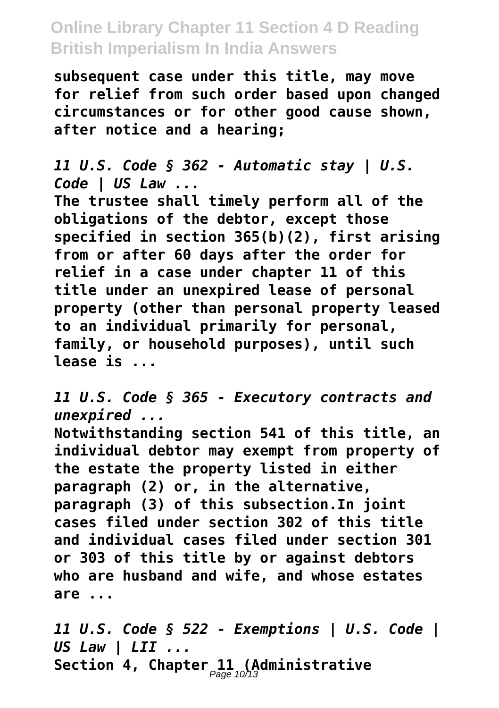**subsequent case under this title, may move for relief from such order based upon changed circumstances or for other good cause shown, after notice and a hearing;**

*11 U.S. Code § 362 - Automatic stay | U.S. Code | US Law ...*

**The trustee shall timely perform all of the obligations of the debtor, except those specified in section 365(b)(2), first arising from or after 60 days after the order for relief in a case under chapter 11 of this title under an unexpired lease of personal property (other than personal property leased to an individual primarily for personal, family, or household purposes), until such lease is ...**

*11 U.S. Code § 365 - Executory contracts and unexpired ...*

**Notwithstanding section 541 of this title, an individual debtor may exempt from property of the estate the property listed in either paragraph (2) or, in the alternative, paragraph (3) of this subsection.In joint cases filed under section 302 of this title and individual cases filed under section 301 or 303 of this title by or against debtors who are husband and wife, and whose estates are ...**

*11 U.S. Code § 522 - Exemptions | U.S. Code | US Law | LII ...* **Section 4, Chapter 11 (Administrative** Page 10/13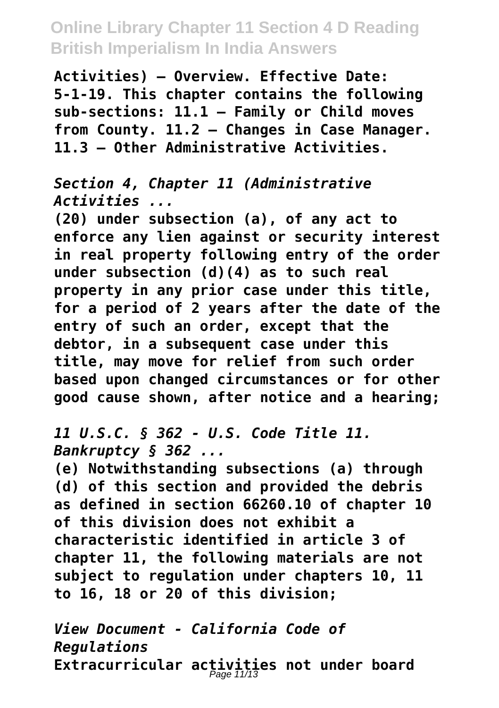**Activities) – Overview. Effective Date: 5-1-19. This chapter contains the following sub-sections: 11.1 – Family or Child moves from County. 11.2 – Changes in Case Manager. 11.3 – Other Administrative Activities.**

*Section 4, Chapter 11 (Administrative Activities ...*

**(20) under subsection (a), of any act to enforce any lien against or security interest in real property following entry of the order under subsection (d)(4) as to such real property in any prior case under this title, for a period of 2 years after the date of the entry of such an order, except that the debtor, in a subsequent case under this title, may move for relief from such order based upon changed circumstances or for other good cause shown, after notice and a hearing;**

*11 U.S.C. § 362 - U.S. Code Title 11. Bankruptcy § 362 ...*

**(e) Notwithstanding subsections (a) through (d) of this section and provided the debris as defined in section 66260.10 of chapter 10 of this division does not exhibit a characteristic identified in article 3 of chapter 11, the following materials are not subject to regulation under chapters 10, 11 to 16, 18 or 20 of this division;**

*View Document - California Code of Regulations* Extracurricular activities not under board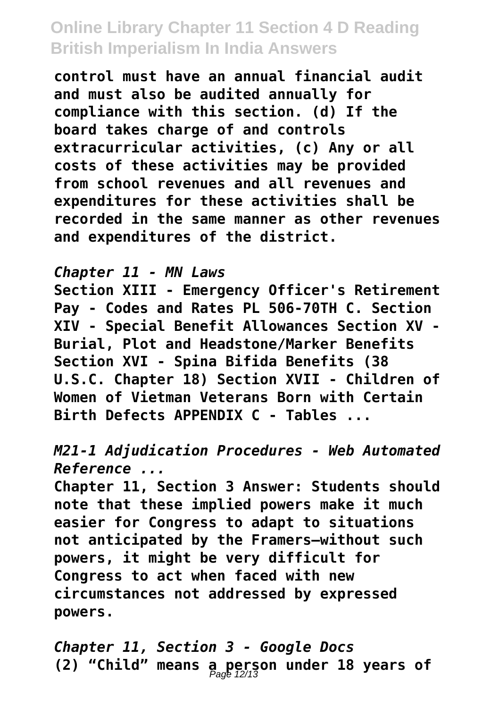**control must have an annual financial audit and must also be audited annually for compliance with this section. (d) If the board takes charge of and controls extracurricular activities, (c) Any or all costs of these activities may be provided from school revenues and all revenues and expenditures for these activities shall be recorded in the same manner as other revenues and expenditures of the district.**

*Chapter 11 - MN Laws*

**Section XIII - Emergency Officer's Retirement Pay - Codes and Rates PL 506-70TH C. Section XIV - Special Benefit Allowances Section XV - Burial, Plot and Headstone/Marker Benefits Section XVI - Spina Bifida Benefits (38 U.S.C. Chapter 18) Section XVII - Children of Women of Vietman Veterans Born with Certain Birth Defects APPENDIX C - Tables ...**

*M21-1 Adjudication Procedures - Web Automated Reference ...*

**Chapter 11, Section 3 Answer: Students should note that these implied powers make it much easier for Congress to adapt to situations not anticipated by the Framers—without such powers, it might be very difficult for Congress to act when faced with new circumstances not addressed by expressed powers.**

*Chapter 11, Section 3 - Google Docs* **(2) "Child" means a person under 18 years of** Page 12/13